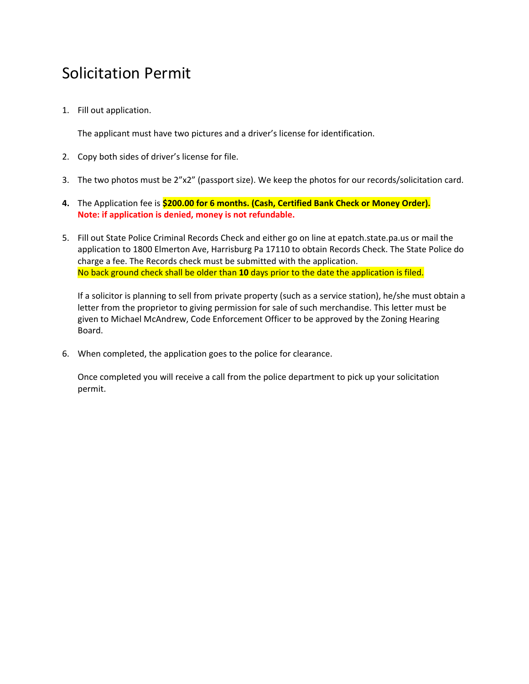## Solicitation Permit

1. Fill out application.

The applicant must have two pictures and a driver's license for identification.

- 2. Copy both sides of driver's license for file.
- 3. The two photos must be 2"x2" (passport size). We keep the photos for our records/solicitation card.
- **4.** The Application fee is **\$200.00 for 6 months. (Cash, Certified Bank Check or Money Order). Note: if application is denied, money is not refundable.**
- 5. Fill out State Police Criminal Records Check and either go on line at epatch.state.pa.us or mail the application to 1800 Elmerton Ave, Harrisburg Pa 17110 to obtain Records Check. The State Police do charge a fee. The Records check must be submitted with the application. No back ground check shall be older than **10** days prior to the date the application is filed.

If a solicitor is planning to sell from private property (such as a service station), he/she must obtain a letter from the proprietor to giving permission for sale of such merchandise. This letter must be given to Michael McAndrew, Code Enforcement Officer to be approved by the Zoning Hearing Board.

6. When completed, the application goes to the police for clearance.

Once completed you will receive a call from the police department to pick up your solicitation permit.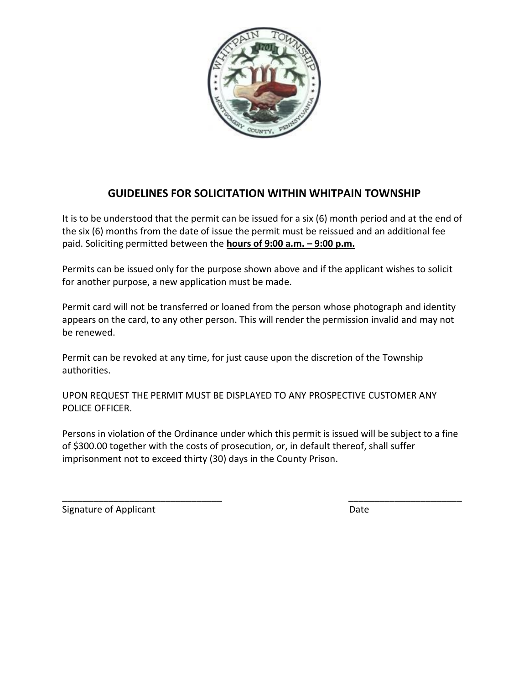

## **GUIDELINES FOR SOLICITATION WITHIN WHITPAIN TOWNSHIP**

It is to be understood that the permit can be issued for a six (6) month period and at the end of the six (6) months from the date of issue the permit must be reissued and an additional fee paid. Soliciting permitted between the **hours of 9:00 a.m. – 9:00 p.m.**

Permits can be issued only for the purpose shown above and if the applicant wishes to solicit for another purpose, a new application must be made.

Permit card will not be transferred or loaned from the person whose photograph and identity appears on the card, to any other person. This will render the permission invalid and may not be renewed.

Permit can be revoked at any time, for just cause upon the discretion of the Township authorities.

UPON REQUEST THE PERMIT MUST BE DISPLAYED TO ANY PROSPECTIVE CUSTOMER ANY POLICE OFFICER.

Persons in violation of the Ordinance under which this permit is issued will be subject to a fine of \$300.00 together with the costs of prosecution, or, in default thereof, shall suffer imprisonment not to exceed thirty (30) days in the County Prison.

\_\_\_\_\_\_\_\_\_\_\_\_\_\_\_\_\_\_\_\_\_\_\_\_\_\_\_\_\_\_\_ \_\_\_\_\_\_\_\_\_\_\_\_\_\_\_\_\_\_\_\_\_\_

Signature of Applicant Date Controller and Date Date Date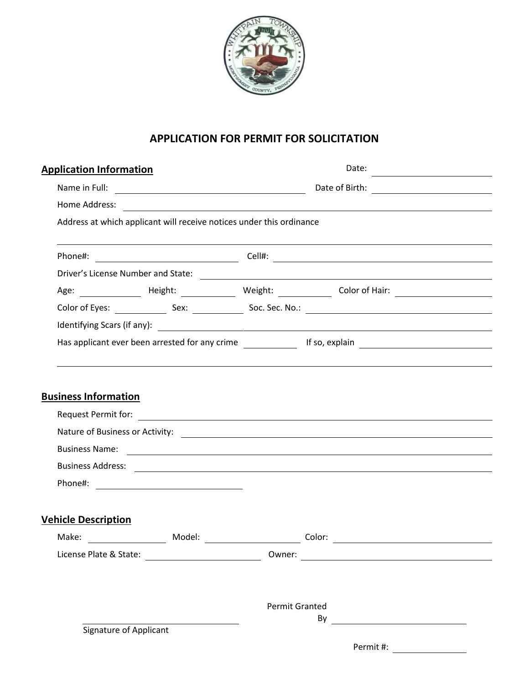

## **APPLICATION FOR PERMIT FOR SOLICITATION**

| <b>Application Information</b> |        |                                                                      | Date:                                                                                                                                                                                                                                                                                                                   |  |  |
|--------------------------------|--------|----------------------------------------------------------------------|-------------------------------------------------------------------------------------------------------------------------------------------------------------------------------------------------------------------------------------------------------------------------------------------------------------------------|--|--|
|                                |        |                                                                      | Date of Birth: <u>______________________</u>                                                                                                                                                                                                                                                                            |  |  |
|                                |        |                                                                      |                                                                                                                                                                                                                                                                                                                         |  |  |
|                                |        | Address at which applicant will receive notices under this ordinance |                                                                                                                                                                                                                                                                                                                         |  |  |
|                                |        |                                                                      |                                                                                                                                                                                                                                                                                                                         |  |  |
|                                |        |                                                                      |                                                                                                                                                                                                                                                                                                                         |  |  |
|                                |        |                                                                      |                                                                                                                                                                                                                                                                                                                         |  |  |
|                                |        |                                                                      |                                                                                                                                                                                                                                                                                                                         |  |  |
|                                |        |                                                                      |                                                                                                                                                                                                                                                                                                                         |  |  |
|                                |        |                                                                      | Has applicant ever been arrested for any crime ______________ If so, explain _________________________________                                                                                                                                                                                                          |  |  |
|                                |        |                                                                      |                                                                                                                                                                                                                                                                                                                         |  |  |
|                                |        |                                                                      | Nature of Business or Activity: <u>contract the contract of Business or Activity:</u><br>Business Name: experience and a series of the series of the series of the series of the series of the series of the series of the series of the series of the series of the series of the series of the series of the series o |  |  |
|                                |        |                                                                      |                                                                                                                                                                                                                                                                                                                         |  |  |
| <b>Vehicle Description</b>     |        |                                                                      |                                                                                                                                                                                                                                                                                                                         |  |  |
|                                | Model: |                                                                      | $\overline{\phantom{a}}$ Color:                                                                                                                                                                                                                                                                                         |  |  |
|                                |        |                                                                      |                                                                                                                                                                                                                                                                                                                         |  |  |
|                                |        |                                                                      |                                                                                                                                                                                                                                                                                                                         |  |  |
|                                |        | <b>Permit Granted</b>                                                | By<br><u> Alexandria de la conte</u>                                                                                                                                                                                                                                                                                    |  |  |
| Signature of Applicant         |        |                                                                      |                                                                                                                                                                                                                                                                                                                         |  |  |
|                                |        |                                                                      | Permit #: ___________________                                                                                                                                                                                                                                                                                           |  |  |